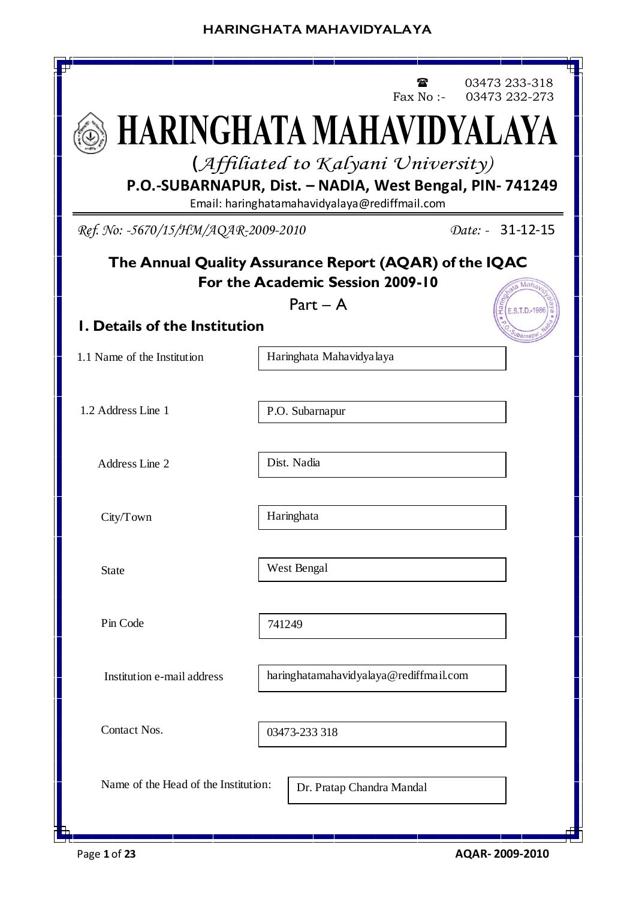

Page **1** of **23 AQAR- 2009-2010**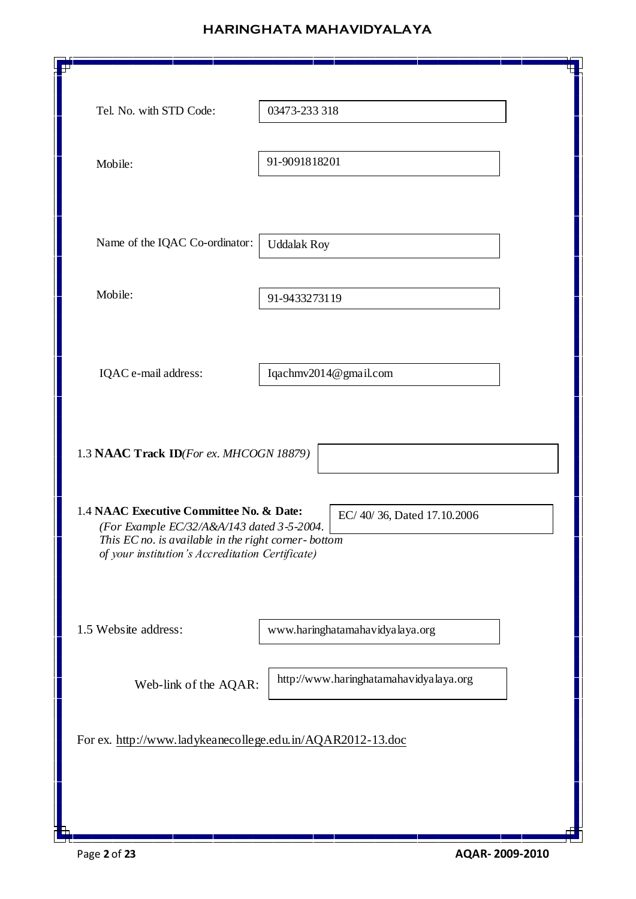| Tel. No. with STD Code:                                                                                                                                                                           | 03473-233 318                          |
|---------------------------------------------------------------------------------------------------------------------------------------------------------------------------------------------------|----------------------------------------|
| Mobile:                                                                                                                                                                                           | 91-9091818201                          |
| Name of the IQAC Co-ordinator:                                                                                                                                                                    | <b>Uddalak Roy</b>                     |
| Mobile:                                                                                                                                                                                           | 91-9433273119                          |
| IQAC e-mail address:                                                                                                                                                                              | Iqachmv2014@gmail.com                  |
| 1.3 NAAC Track ID(For ex. MHCOGN 18879)                                                                                                                                                           |                                        |
| 1.4 NAAC Executive Committee No. & Date:<br>(For Example EC/32/A&A/143 dated 3-5-2004)<br>This EC no. is available in the right corner-bottom<br>of your institution's Accreditation Certificate) | EC/40/36, Dated 17.10.2006             |
| 1.5 Website address:                                                                                                                                                                              | www.haringhatamahavidyalaya.org        |
| Web-link of the AQAR:                                                                                                                                                                             | http://www.haringhatamahavidyalaya.org |
| For ex. http://www.ladykeanecollege.edu.in/AQAR2012-13.doc                                                                                                                                        |                                        |
|                                                                                                                                                                                                   |                                        |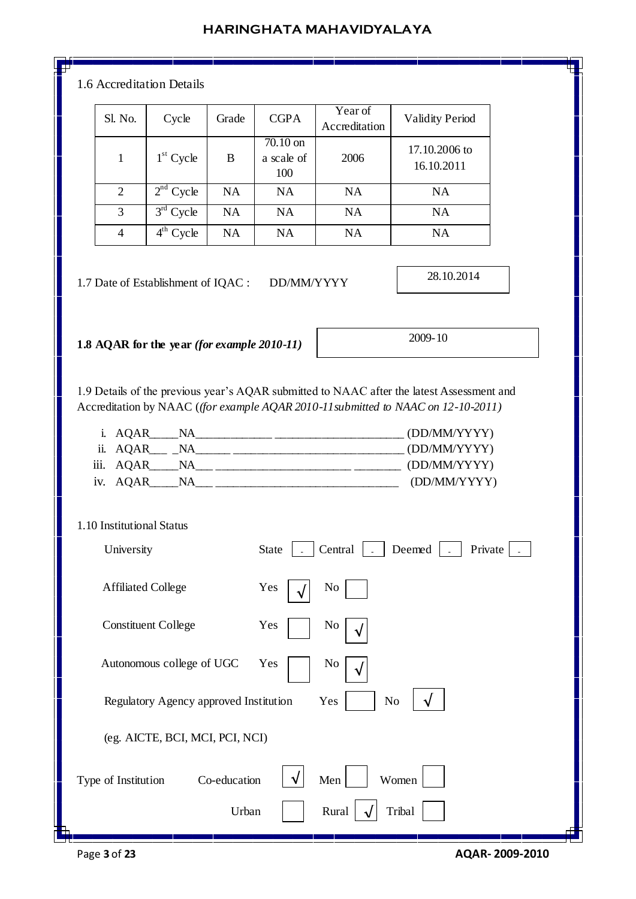#### 1.6 Accreditation Details

| Sl. No.        | Cycle                    | Grade     | <b>CGPA</b>                   | Year of<br>Accreditation | <b>Validity Period</b>      |
|----------------|--------------------------|-----------|-------------------------------|--------------------------|-----------------------------|
|                | $1st$ Cycle              | B         | 70.10 on<br>a scale of<br>100 | 2006                     | 17.10.2006 to<br>16.10.2011 |
| 2              | 2 <sup>nd</sup><br>Cycle | <b>NA</b> | <b>NA</b>                     | <b>NA</b>                | <b>NA</b>                   |
| 3              | $3rd$ Cycle              | <b>NA</b> | <b>NA</b>                     | <b>NA</b>                | <b>NA</b>                   |
| $\overline{4}$ | Cycle                    | <b>NA</b> | <b>NA</b>                     | <b>NA</b>                | NA                          |

1.7 Date of Establishment of IQAC : DD/MM/YYYY

**1.8 AQAR for the year** *(for example 2010-11)*

2009-10

28.10.2014

1.9 Details of the previous year's AQAR submitted to NAAC after the latest Assessment and Accreditation by NAAC (*(for example AQAR 2010-11submitted to NAAC on 12-10-2011)*

| i. AQAR   | ΝA        | (DD/MM/YYYY) |
|-----------|-----------|--------------|
| ii. AQAR  |           | (DD/MM/YYYY) |
| iii. AQAR | <b>NA</b> | (DD/MM/YYYY) |
| iv. AQAR  | ΝA        | (DD/MM/YYYY) |

#### 1.10 Institutional Status

| University                             | Deemed<br><b>State</b><br>Central<br>Private |  |
|----------------------------------------|----------------------------------------------|--|
| <b>Affiliated College</b>              | Yes<br>No                                    |  |
| <b>Constituent College</b>             | Yes<br>N <sub>0</sub>                        |  |
| Autonomous college of UGC              | Yes<br>No                                    |  |
| Regulatory Agency approved Institution | N <sub>0</sub><br>Yes                        |  |
| (eg. AICTE, BCI, MCI, PCI, NCI)        |                                              |  |
| Co-education<br>Type of Institution    | Men<br>Women                                 |  |
| Urban                                  | Rural<br>Tribal                              |  |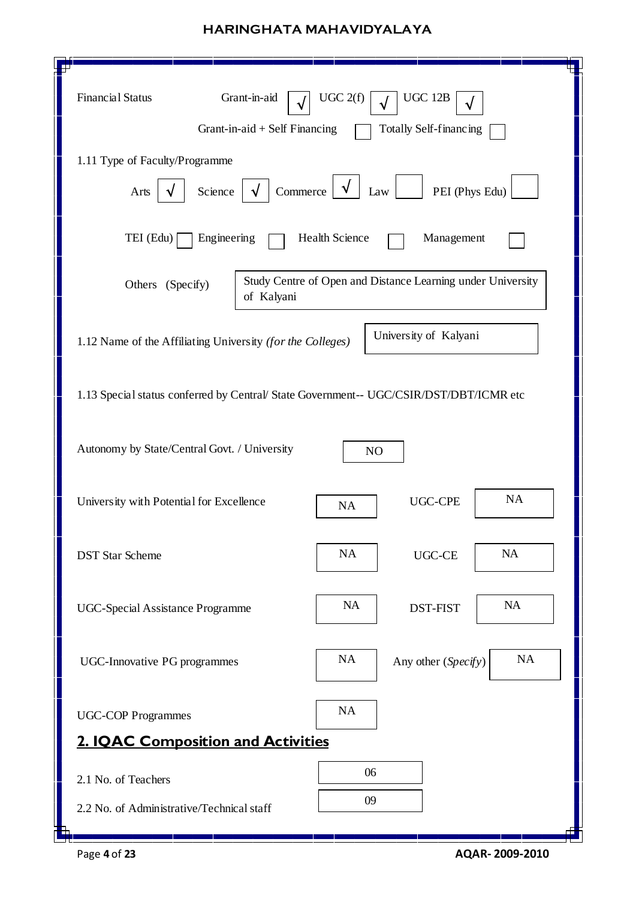| <b>Financial Status</b><br>Grant-in-aid<br>Grant-in-aid + Self Financing               | UGC 2(f)<br><b>UGC 12B</b><br>Totally Self-financing        |  |  |  |  |  |  |  |
|----------------------------------------------------------------------------------------|-------------------------------------------------------------|--|--|--|--|--|--|--|
| 1.11 Type of Faculty/Programme                                                         |                                                             |  |  |  |  |  |  |  |
| Commerce<br>PEI (Phys Edu)<br>Science<br>Law<br>Arts<br>√                              |                                                             |  |  |  |  |  |  |  |
| TEI (Edu)<br>Engineering                                                               | Health Science<br>Management                                |  |  |  |  |  |  |  |
| Others (Specify)<br>of Kalyani                                                         | Study Centre of Open and Distance Learning under University |  |  |  |  |  |  |  |
| 1.12 Name of the Affiliating University (for the Colleges)                             | University of Kalyani                                       |  |  |  |  |  |  |  |
| 1.13 Special status conferred by Central/ State Government-- UGC/CSIR/DST/DBT/ICMR etc |                                                             |  |  |  |  |  |  |  |
| Autonomy by State/Central Govt. / University                                           | N <sub>O</sub>                                              |  |  |  |  |  |  |  |
| University with Potential for Excellence                                               | <b>NA</b><br><b>UGC-CPE</b><br><b>NA</b>                    |  |  |  |  |  |  |  |
| <b>DST Star Scheme</b>                                                                 | <b>NA</b><br>NA<br>UGC-CE                                   |  |  |  |  |  |  |  |
| <b>UGC-Special Assistance Programme</b>                                                | <b>NA</b><br><b>NA</b><br><b>DST-FIST</b>                   |  |  |  |  |  |  |  |
| <b>UGC-Innovative PG programmes</b>                                                    | <b>NA</b><br><b>NA</b><br>Any other (Specify)               |  |  |  |  |  |  |  |
| <b>UGC-COP Programmes</b>                                                              | NA                                                          |  |  |  |  |  |  |  |
| <b>2. IQAC Composition and Activities</b>                                              |                                                             |  |  |  |  |  |  |  |
| 2.1 No. of Teachers                                                                    | 06                                                          |  |  |  |  |  |  |  |
| 2.2 No. of Administrative/Technical staff                                              | 09                                                          |  |  |  |  |  |  |  |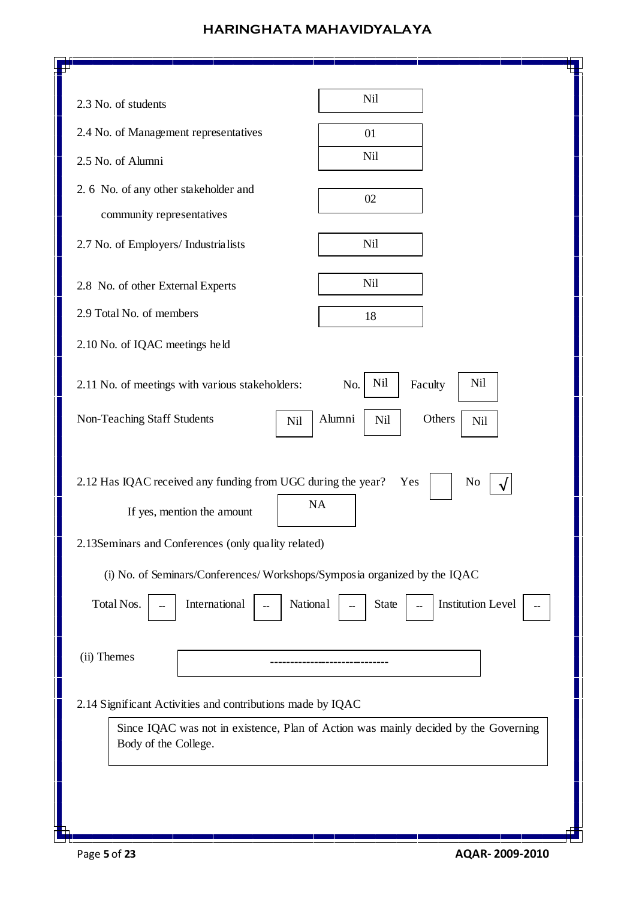| <b>Nil</b><br>2.3 No. of students<br>2.4 No. of Management representatives<br>01<br>Nil<br>2.5 No. of Alumni<br>2. 6 No. of any other stakeholder and<br>02<br>community representatives<br>Nil<br>2.7 No. of Employers/ Industrialists<br>Nil<br>2.8 No. of other External Experts<br>2.9 Total No. of members<br>18<br>2.10 No. of IQAC meetings held<br>Nil<br>Nil<br>Faculty<br>2.11 No. of meetings with various stakeholders:<br>No.<br>Alumni<br>Non-Teaching Staff Students<br>Others<br><b>Nil</b><br>Nil<br>Nil<br>2.12 Has IQAC received any funding from UGC during the year?<br>Yes<br>N <sub>0</sub><br><b>NA</b><br>If yes, mention the amount<br>2.13Seminars and Conferences (only quality related)<br>(i) No. of Seminars/Conferences/Workshops/Symposia organized by the IQAC<br>International<br><b>Institution Level</b><br>Total Nos.<br>National<br>State<br>(ii) Themes<br>2.14 Significant Activities and contributions made by IQAC<br>Since IQAC was not in existence, Plan of Action was mainly decided by the Governing<br>Body of the College. | T۲ |  |
|------------------------------------------------------------------------------------------------------------------------------------------------------------------------------------------------------------------------------------------------------------------------------------------------------------------------------------------------------------------------------------------------------------------------------------------------------------------------------------------------------------------------------------------------------------------------------------------------------------------------------------------------------------------------------------------------------------------------------------------------------------------------------------------------------------------------------------------------------------------------------------------------------------------------------------------------------------------------------------------------------------------------------------------------------------------------------|----|--|
|                                                                                                                                                                                                                                                                                                                                                                                                                                                                                                                                                                                                                                                                                                                                                                                                                                                                                                                                                                                                                                                                              |    |  |
|                                                                                                                                                                                                                                                                                                                                                                                                                                                                                                                                                                                                                                                                                                                                                                                                                                                                                                                                                                                                                                                                              |    |  |
|                                                                                                                                                                                                                                                                                                                                                                                                                                                                                                                                                                                                                                                                                                                                                                                                                                                                                                                                                                                                                                                                              |    |  |
|                                                                                                                                                                                                                                                                                                                                                                                                                                                                                                                                                                                                                                                                                                                                                                                                                                                                                                                                                                                                                                                                              |    |  |
|                                                                                                                                                                                                                                                                                                                                                                                                                                                                                                                                                                                                                                                                                                                                                                                                                                                                                                                                                                                                                                                                              |    |  |
|                                                                                                                                                                                                                                                                                                                                                                                                                                                                                                                                                                                                                                                                                                                                                                                                                                                                                                                                                                                                                                                                              |    |  |
|                                                                                                                                                                                                                                                                                                                                                                                                                                                                                                                                                                                                                                                                                                                                                                                                                                                                                                                                                                                                                                                                              |    |  |
|                                                                                                                                                                                                                                                                                                                                                                                                                                                                                                                                                                                                                                                                                                                                                                                                                                                                                                                                                                                                                                                                              |    |  |
|                                                                                                                                                                                                                                                                                                                                                                                                                                                                                                                                                                                                                                                                                                                                                                                                                                                                                                                                                                                                                                                                              |    |  |
|                                                                                                                                                                                                                                                                                                                                                                                                                                                                                                                                                                                                                                                                                                                                                                                                                                                                                                                                                                                                                                                                              |    |  |
|                                                                                                                                                                                                                                                                                                                                                                                                                                                                                                                                                                                                                                                                                                                                                                                                                                                                                                                                                                                                                                                                              |    |  |
|                                                                                                                                                                                                                                                                                                                                                                                                                                                                                                                                                                                                                                                                                                                                                                                                                                                                                                                                                                                                                                                                              |    |  |
|                                                                                                                                                                                                                                                                                                                                                                                                                                                                                                                                                                                                                                                                                                                                                                                                                                                                                                                                                                                                                                                                              |    |  |

 $\mathbf{d}$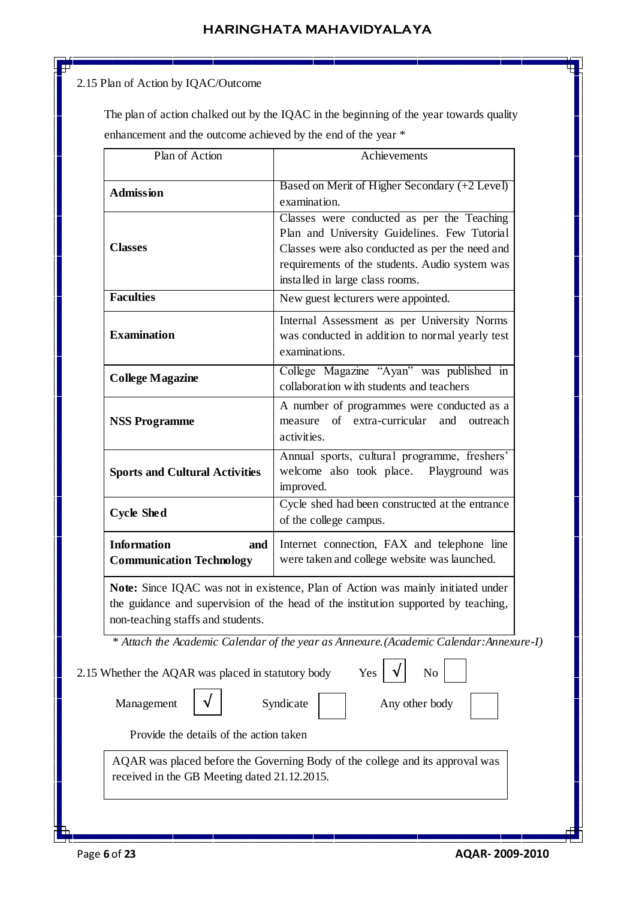## 2.15 Plan of Action by IQAC/Outcome

 The plan of action chalked out by the IQAC in the beginning of the year towards quality enhancement and the outcome achieved by the end of the year \*

| Plan of Action                                               | Achievements                                                                                                                                                                                                                       |  |  |  |  |
|--------------------------------------------------------------|------------------------------------------------------------------------------------------------------------------------------------------------------------------------------------------------------------------------------------|--|--|--|--|
| <b>Admission</b>                                             | Based on Merit of Higher Secondary (+2 Level)<br>examination.                                                                                                                                                                      |  |  |  |  |
| <b>Classes</b>                                               | Classes were conducted as per the Teaching<br>Plan and University Guidelines. Few Tutorial<br>Classes were also conducted as per the need and<br>requirements of the students. Audio system was<br>installed in large class rooms. |  |  |  |  |
| <b>Faculties</b>                                             | New guest lecturers were appointed.                                                                                                                                                                                                |  |  |  |  |
| <b>Examination</b>                                           | Internal Assessment as per University Norms<br>was conducted in addition to normal yearly test<br>examinations.                                                                                                                    |  |  |  |  |
| <b>College Magazine</b>                                      | College Magazine "Ayan" was published in<br>collaboration with students and teachers                                                                                                                                               |  |  |  |  |
| <b>NSS Programme</b>                                         | A number of programmes were conducted as a<br>measure of extra-curricular<br>and outreach<br>activities.                                                                                                                           |  |  |  |  |
| <b>Sports and Cultural Activities</b>                        | Annual sports, cultural programme, freshers'<br>welcome also took place.<br>Playground was<br>improved.                                                                                                                            |  |  |  |  |
| <b>Cycle Shed</b>                                            | Cycle shed had been constructed at the entrance<br>of the college campus.                                                                                                                                                          |  |  |  |  |
| <b>Information</b><br>and<br><b>Communication Technology</b> | Internet connection, FAX and telephone line<br>were taken and college website was launched.                                                                                                                                        |  |  |  |  |
| non-teaching staffs and students.                            | Note: Since IQAC was not in existence, Plan of Action was mainly initiated under<br>the guidance and supervision of the head of the institution supported by teaching,                                                             |  |  |  |  |
|                                                              | * Attach the Academic Calendar of the year as Annexure. (Academic Calendar: Annexure-I)                                                                                                                                            |  |  |  |  |
| 2.15 Whether the AQAR was placed in statutory body           | Yes<br>No                                                                                                                                                                                                                          |  |  |  |  |
| Management                                                   | Syndicate<br>Any other body                                                                                                                                                                                                        |  |  |  |  |
| Provide the details of the action taken                      |                                                                                                                                                                                                                                    |  |  |  |  |
|                                                              | AQAR was placed before the Governing Body of the college and its approval was                                                                                                                                                      |  |  |  |  |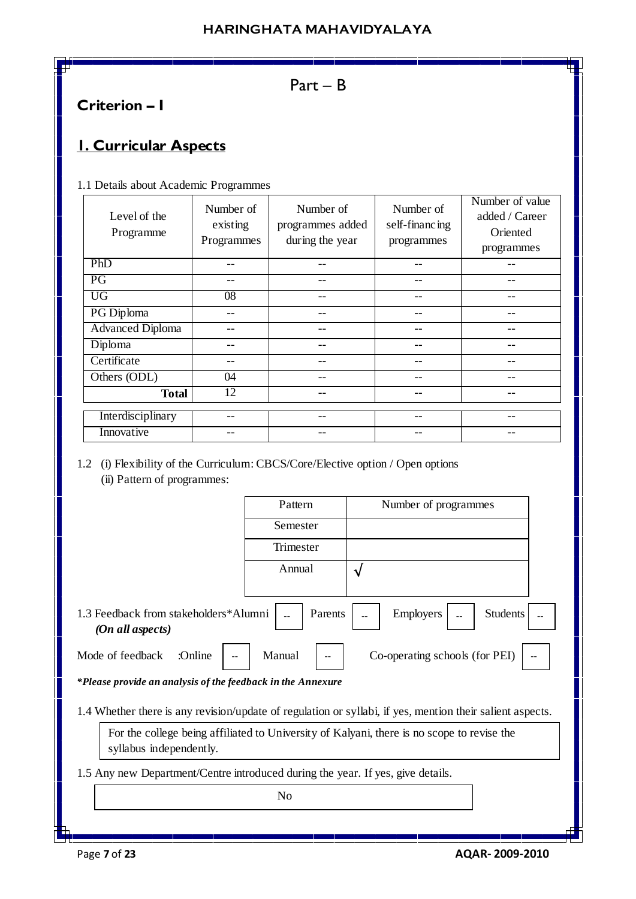# Part – B

# **Criterion – I**

# **1. Curricular Aspects**

1.1 Details about Academic Programmes

| Level of the<br>Programme | Number of<br>existing<br>Programmes | Number of<br>programmes added<br>during the year | Number of<br>self-financing<br>programmes | Number of value<br>added / Career<br>Oriented<br>programmes |
|---------------------------|-------------------------------------|--------------------------------------------------|-------------------------------------------|-------------------------------------------------------------|
| PhD                       |                                     | --                                               |                                           |                                                             |
| PG                        |                                     |                                                  | --                                        |                                                             |
| UG                        | $\overline{08}$                     | --                                               | --                                        |                                                             |
| PG Diploma                |                                     |                                                  | --                                        |                                                             |
| <b>Advanced Diploma</b>   |                                     | --                                               | --                                        |                                                             |
| Diploma                   |                                     |                                                  | --                                        |                                                             |
| Certificate               | --                                  | --                                               | --                                        |                                                             |
| Others (ODL)              | 04                                  | --                                               | --                                        |                                                             |
| <b>Total</b>              | 12                                  | --                                               | --                                        |                                                             |
| Interdisciplinary         |                                     | --                                               | --                                        |                                                             |
| Innovative                |                                     |                                                  |                                           |                                                             |

1.2 (i) Flexibility of the Curriculum: CBCS/Core/Elective option / Open options (ii) Pattern of programmes:

|                                                                                                                       | Pattern   | Number of programmes |  |  |  |  |
|-----------------------------------------------------------------------------------------------------------------------|-----------|----------------------|--|--|--|--|
|                                                                                                                       | Semester  |                      |  |  |  |  |
|                                                                                                                       | Trimester |                      |  |  |  |  |
|                                                                                                                       | Annual    | ึ่ง                  |  |  |  |  |
|                                                                                                                       |           |                      |  |  |  |  |
| 1.3 Feedback from stakeholders*Alumni<br>Employers<br><b>Students</b><br>Parents<br>(On all aspects)                  |           |                      |  |  |  |  |
| Co-operating schools (for PEI)<br>Manual<br>Mode of feedback<br>:Online                                               |           |                      |  |  |  |  |
| *Please provide an analysis of the feedback in the Annexure                                                           |           |                      |  |  |  |  |
| 1.4 Whether there is any revision/update of regulation or syllabi, if yes, mention their salient aspects.             |           |                      |  |  |  |  |
| For the college being affiliated to University of Kalyani, there is no scope to revise the<br>syllabus independently. |           |                      |  |  |  |  |
| 1.5 Any new Department/Centre introduced during the year. If yes, give details.                                       |           |                      |  |  |  |  |
| N <sub>0</sub>                                                                                                        |           |                      |  |  |  |  |
|                                                                                                                       |           |                      |  |  |  |  |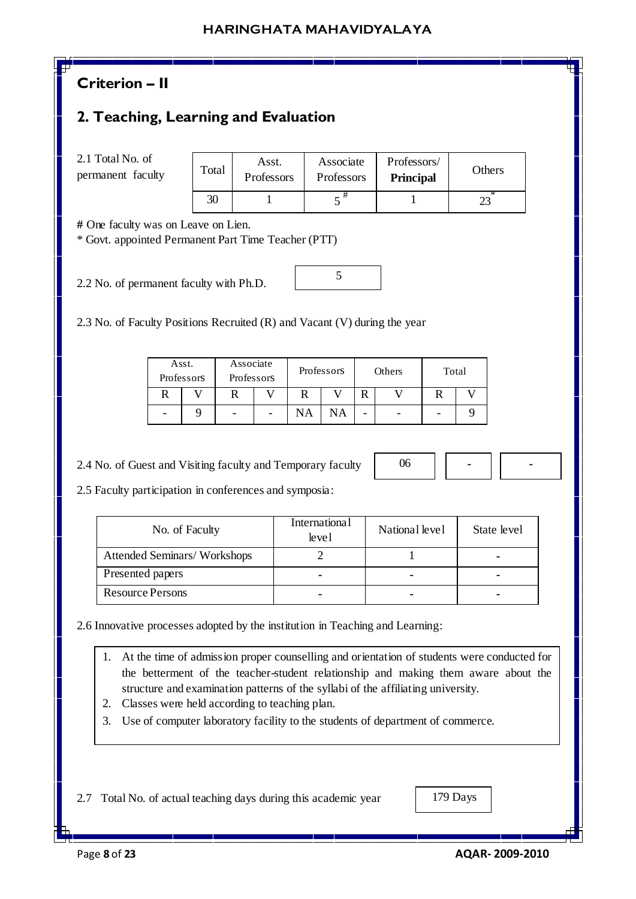# **Criterion – II**

## **2. Teaching, Learning and Evaluation**

2.1 Total No. of permanent faculty

| Total | Asst.<br>Professors | Associate<br>Professors | Professors/<br><b>Principal</b> | Others |
|-------|---------------------|-------------------------|---------------------------------|--------|
| 30    |                     |                         |                                 |        |

5

**#** One faculty was on Leave on Lien.

\* Govt. appointed Permanent Part Time Teacher (PTT)

2.2 No. of permanent faculty with Ph.D.

2.3 No. of Faculty Positions Recruited (R) and Vacant (V) during the year

| Asst.<br>Professors | Associate<br>Professors |   | Professors |    | Others |   | Total |  |
|---------------------|-------------------------|---|------------|----|--------|---|-------|--|
|                     |                         |   |            |    |        |   |       |  |
|                     | -                       | - | NA         | NΑ |        | - |       |  |

2.4 No. of Guest and Visiting faculty and Temporary faculty

06 **- -**

2.5 Faculty participation in conferences and symposia:

| No. of Faculty              | <b>International</b><br>level | National level | State level |
|-----------------------------|-------------------------------|----------------|-------------|
| Attended Seminars/Workshops |                               |                |             |
| Presented papers            |                               | -              |             |
| <b>Resource Persons</b>     |                               |                |             |

2.6 Innovative processes adopted by the institution in Teaching and Learning:

- 1. At the time of admission proper counselling and orientation of students were conducted for the betterment of the teacher-student relationship and making them aware about the structure and examination patterns of the syllabi of the affiliating university.
- 2. Classes were held according to teaching plan.
- 3. Use of computer laboratory facility to the students of department of commerce.

2.7 Total No. of actual teaching days during this academic year

Page **8** of **23 AQAR- 2009-2010**

179 Days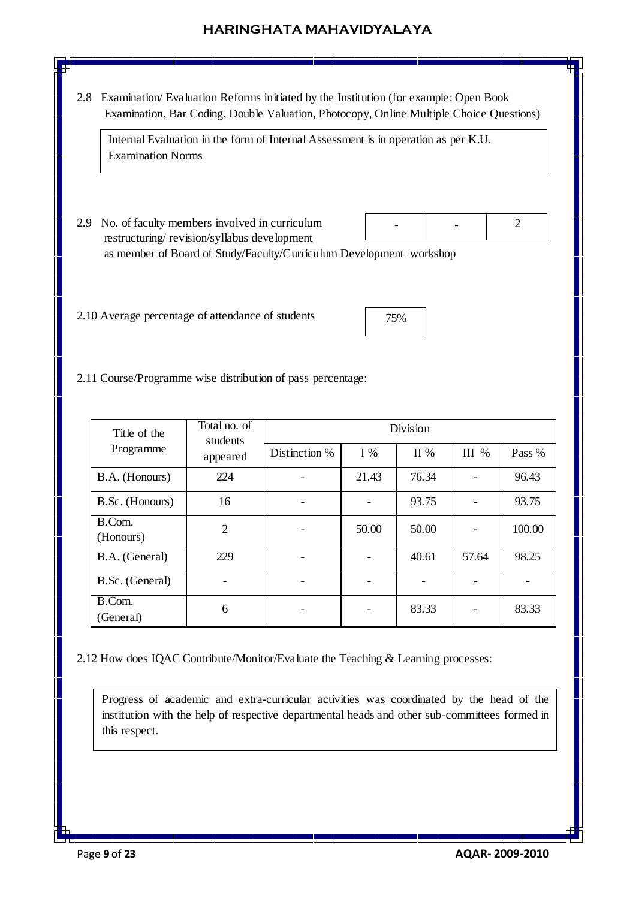2.8 Examination/ Evaluation Reforms initiated by the Institution (for example: Open Book Examination, Bar Coding, Double Valuation, Photocopy, Online Multiple Choice Questions)

Internal Evaluation in the form of Internal Assessment is in operation as per K.U. Examination Norms

- 2.9 No. of faculty members involved in curriculum restructuring/ revision/syllabus development as member of Board of Study/Faculty/Curriculum Development workshop **- -**
- 2.10 Average percentage of attendance of students

| 75% |  |
|-----|--|
|     |  |

2

2.11 Course/Programme wise distribution of pass percentage:

| Title of the        | Total no. of<br>students | Division      |       |       |         |        |  |
|---------------------|--------------------------|---------------|-------|-------|---------|--------|--|
| Programme           | appeared                 | Distinction % | $I\%$ | II %  | $III$ % | Pass % |  |
| B.A. (Honours)      | 224                      |               | 21.43 | 76.34 |         | 96.43  |  |
| B.Sc. (Honours)     | 16                       |               |       | 93.75 |         | 93.75  |  |
| B.Com.<br>(Honours) | $\overline{2}$           |               | 50.00 | 50.00 |         | 100.00 |  |
| B.A. (General)      | 229                      |               |       | 40.61 | 57.64   | 98.25  |  |
| B.Sc. (General)     |                          |               |       |       |         |        |  |
| B.Com.<br>(General) | 6                        |               |       | 83.33 |         | 83.33  |  |

2.12 How does IQAC Contribute/Monitor/Evaluate the Teaching & Learning processes:

Progress of academic and extra-curricular activities was coordinated by the head of the institution with the help of respective departmental heads and other sub-committees formed in this respect.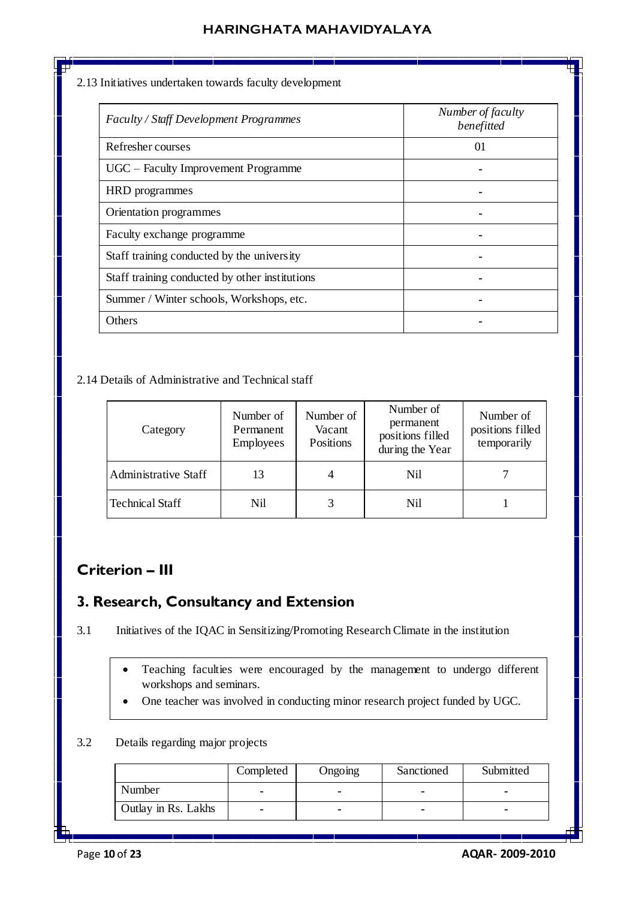#### 2.13 Initiatives undertaken towards faculty development

| Faculty / Staff Development Programmes         | Number of faculty<br>benefitted |
|------------------------------------------------|---------------------------------|
| Refresher courses                              | 01                              |
| UGC – Faculty Improvement Programme            |                                 |
| HRD programmes                                 |                                 |
| Orientation programmes                         |                                 |
| Faculty exchange programme                     |                                 |
| Staff training conducted by the university     |                                 |
| Staff training conducted by other institutions |                                 |
| Summer / Winter schools, Workshops, etc.       |                                 |
| Others                                         |                                 |

#### 2.14 Details of Administrative and Technical staff

| Category             | Number of<br>Permanent<br><b>Employees</b> | Number of<br>Vacant<br>Positions | Number of<br>permanent<br>positions filled<br>during the Year | Number of<br>positions filled<br>temporarily |
|----------------------|--------------------------------------------|----------------------------------|---------------------------------------------------------------|----------------------------------------------|
| Administrative Staff | 13                                         | 4                                | Nil                                                           |                                              |
| Technical Staff      | Nil                                        |                                  | Nil                                                           |                                              |

## **Criterion – III**

## **3. Research, Consultancy and Extension**

- 3.1 Initiatives of the IQAC in Sensitizing/Promoting Research Climate in the institution
	- Teaching faculties were encouraged by the management to undergo different workshops and seminars.
	- One teacher was involved in conducting minor research project funded by UGC.

### 3.2 Details regarding major projects

|                     | Completed | Ongoing | Sanctioned | Submitted |
|---------------------|-----------|---------|------------|-----------|
| Number              | ۰         |         |            | -         |
| Outlay in Rs. Lakhs |           |         |            | -         |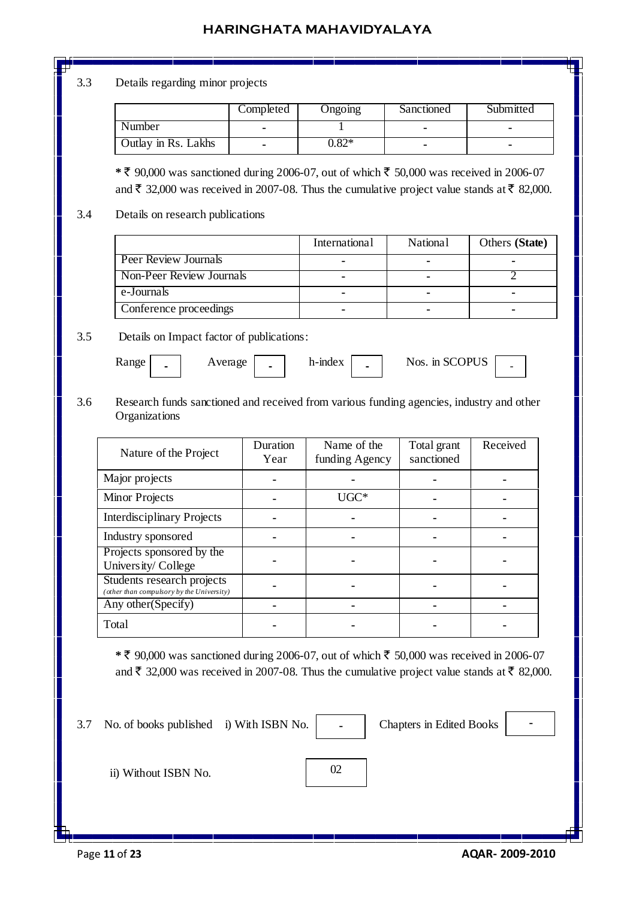#### 3.3 Details regarding minor projects

|                     | Completed | Ongoing | Sanctioned | Submitted |
|---------------------|-----------|---------|------------|-----------|
| Number              | -         |         |            |           |
| Outlay in Rs. Lakhs |           | $0.82*$ |            |           |

 $*$  ₹ 90,000 was sanctioned during 2006-07, out of which ₹ 50,000 was received in 2006-07 and  $\bar{\xi}$  32,000 was received in 2007-08. Thus the cumulative project value stands at  $\bar{\xi}$  82,000.

#### 3.4 Details on research publications

|                          | <b>International</b> | <b>National</b> | Others (State) |
|--------------------------|----------------------|-----------------|----------------|
| Peer Review Journals     |                      |                 |                |
| Non-Peer Review Journals |                      |                 |                |
| e-Journals               |                      |                 |                |
| Conference proceedings   |                      |                 |                |

#### 3.5 Details on Impact factor of publications:

Range | **.** | Average | **.** | h-index | **.** | Nos. in SCOPUS | **. -**

3.6 Research funds sanctioned and received from various funding agencies, industry and other **Organizations** 

| Nature of the Project                                                   | Duration<br>Year | Name of the<br>funding Agency | Total grant<br>sanctioned | Received |
|-------------------------------------------------------------------------|------------------|-------------------------------|---------------------------|----------|
| Major projects                                                          |                  |                               |                           |          |
| <b>Minor Projects</b>                                                   |                  | $UGC*$                        |                           |          |
| <b>Interdisciplinary Projects</b>                                       |                  |                               |                           |          |
| Industry sponsored                                                      |                  |                               |                           |          |
| Projects sponsored by the<br>University/College                         |                  |                               |                           |          |
| Students research projects<br>(other than compulsory by the University) |                  |                               |                           |          |
| Any other (Specify)                                                     |                  |                               |                           |          |
| Total                                                                   |                  |                               |                           |          |

 $*$  ₹ 90,000 was sanctioned during 2006-07, out of which ₹ 50,000 was received in 2006-07 and  $\bar{\xi}$  32,000 was received in 2007-08. Thus the cumulative project value stands at  $\bar{\xi}$  82,000.

3.7 No. of books published i) With ISBN No. | - | Chapters in Edited Books

**-**

ii) Without ISBN No.

02

**-**

Page **11** of **23 AQAR- 2009-2010**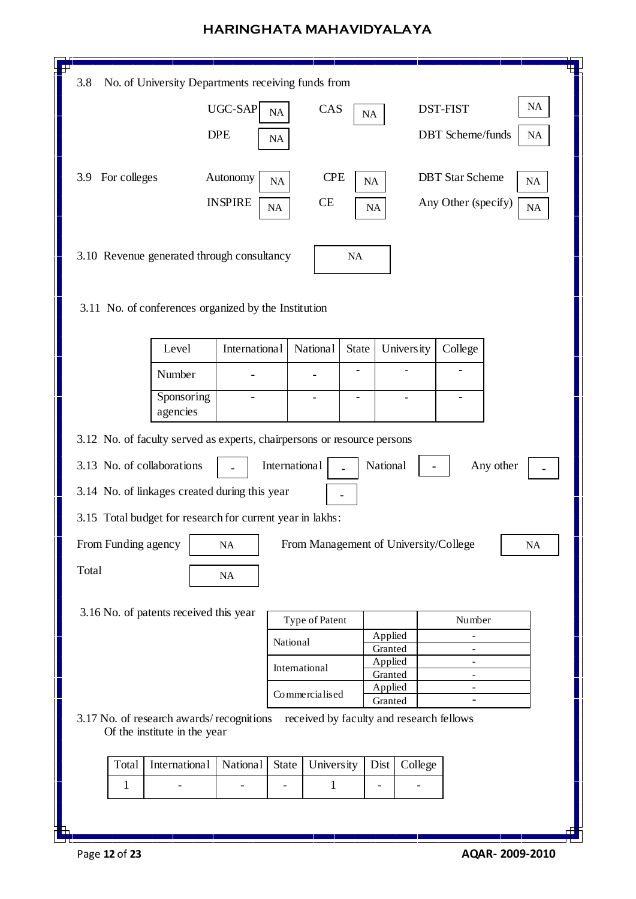| 3.8                                                                     | No. of University Departments receiving funds from |               |                                          |           |                    |            |                         |           |           |
|-------------------------------------------------------------------------|----------------------------------------------------|---------------|------------------------------------------|-----------|--------------------|------------|-------------------------|-----------|-----------|
|                                                                         | UGC-SAP                                            | NA            | CAS                                      | <b>NA</b> |                    |            | <b>DST-FIST</b>         |           | <b>NA</b> |
|                                                                         | <b>DPE</b>                                         | NA            |                                          |           |                    |            | <b>DBT</b> Scheme/funds |           | NA        |
|                                                                         |                                                    |               |                                          |           |                    |            |                         |           |           |
| For colleges<br>3.9                                                     | Autonomy                                           | NA            | <b>CPE</b>                               | NA        |                    |            | <b>DBT</b> Star Scheme  |           | NA        |
|                                                                         | <b>INSPIRE</b>                                     | NA            | <b>CE</b>                                | <b>NA</b> |                    |            | Any Other (specify)     |           | NA        |
|                                                                         |                                                    |               |                                          |           |                    |            |                         |           |           |
| 3.10 Revenue generated through consultancy                              |                                                    |               |                                          | NA        |                    |            |                         |           |           |
|                                                                         |                                                    |               |                                          |           |                    |            |                         |           |           |
| 3.11 No. of conferences organized by the Institution                    |                                                    |               |                                          |           |                    |            |                         |           |           |
| Level                                                                   | International                                      |               | <b>National</b>                          | State     |                    | University | College                 |           |           |
| Number                                                                  |                                                    |               |                                          |           |                    |            |                         |           |           |
|                                                                         | Sponsoring<br>$\overline{\phantom{0}}$             |               |                                          |           |                    |            |                         |           |           |
| agencies                                                                |                                                    |               |                                          |           |                    |            |                         |           |           |
| 3.12 No. of faculty served as experts, chairpersons or resource persons |                                                    |               |                                          |           |                    |            |                         |           |           |
| 3.13 No. of collaborations                                              |                                                    | International | L.                                       |           | National           |            |                         | Any other |           |
| 3.14 No. of linkages created during this year                           |                                                    |               |                                          |           |                    |            |                         |           |           |
| 3.15 Total budget for research for current year in lakhs:               |                                                    |               |                                          |           |                    |            |                         |           |           |
| From Funding agency                                                     | NA                                                 |               | From Management of University/College    |           |                    |            |                         |           | NA        |
| Total                                                                   |                                                    |               |                                          |           |                    |            |                         |           |           |
|                                                                         | $\rm NA$                                           |               |                                          |           |                    |            |                         |           |           |
| 3.16 No. of patents received this year                                  |                                                    |               | Type of Patent                           |           |                    |            | Number                  |           |           |
|                                                                         |                                                    | National      |                                          |           | Applied            |            |                         |           |           |
|                                                                         |                                                    |               |                                          |           | Granted<br>Applied |            |                         |           |           |
|                                                                         |                                                    |               | International                            |           | Granted            |            |                         |           |           |
|                                                                         |                                                    |               | Commercialised                           |           | Applied<br>Granted |            |                         |           |           |
| 3.17 No. of research awards/recognitions                                |                                                    |               | received by faculty and research fellows |           |                    |            |                         |           |           |
| Of the institute in the year                                            |                                                    |               |                                          |           |                    |            |                         |           |           |
| Total                                                                   | International<br>National                          | <b>State</b>  | <b>University</b>                        |           | Dist               | College    |                         |           |           |
| 1                                                                       |                                                    |               | 1                                        |           |                    |            |                         |           |           |
|                                                                         |                                                    |               |                                          |           |                    |            |                         |           |           |
|                                                                         |                                                    |               |                                          |           |                    |            |                         |           |           |

 $\overline{\phantom{a}}$ 

 $\sqrt{ }$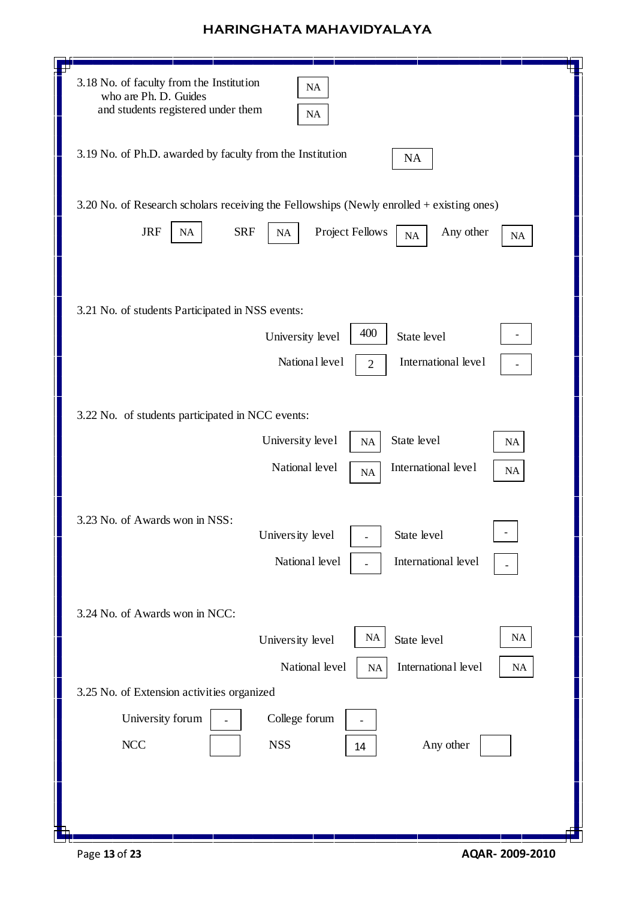| 3.18 No. of faculty from the Institution<br>$\rm NA$<br>who are Ph. D. Guides<br>and students registered under them<br>$\rm NA$                       |
|-------------------------------------------------------------------------------------------------------------------------------------------------------|
| 3.19 No. of Ph.D. awarded by faculty from the Institution<br>NA                                                                                       |
| 3.20 No. of Research scholars receiving the Fellowships (Newly enrolled + existing ones)                                                              |
| <b>JRF</b><br><b>SRF</b><br><b>Project Fellows</b><br>Any other<br>$\rm NA$<br>$\rm NA$<br><b>NA</b><br>NA                                            |
| 3.21 No. of students Participated in NSS events:<br>400<br>State level<br>University level<br>National level<br>International level<br>$\overline{2}$ |
| 3.22 No. of students participated in NCC events:<br>State level<br>University level<br>$\rm NA$<br>NA                                                 |
| National level<br>International level<br>NA<br>NA<br>3.23 No. of Awards won in NSS:<br>University level<br>State level                                |
| National level<br>International level                                                                                                                 |
| 3.24 No. of Awards won in NCC:                                                                                                                        |
| <b>NA</b><br><b>NA</b><br>State level<br>University level                                                                                             |
| National level<br>International level<br>NA<br>$\rm NA$                                                                                               |
| 3.25 No. of Extension activities organized                                                                                                            |
| University forum<br>College forum                                                                                                                     |
| <b>NCC</b><br><b>NSS</b><br>Any other<br>14                                                                                                           |
|                                                                                                                                                       |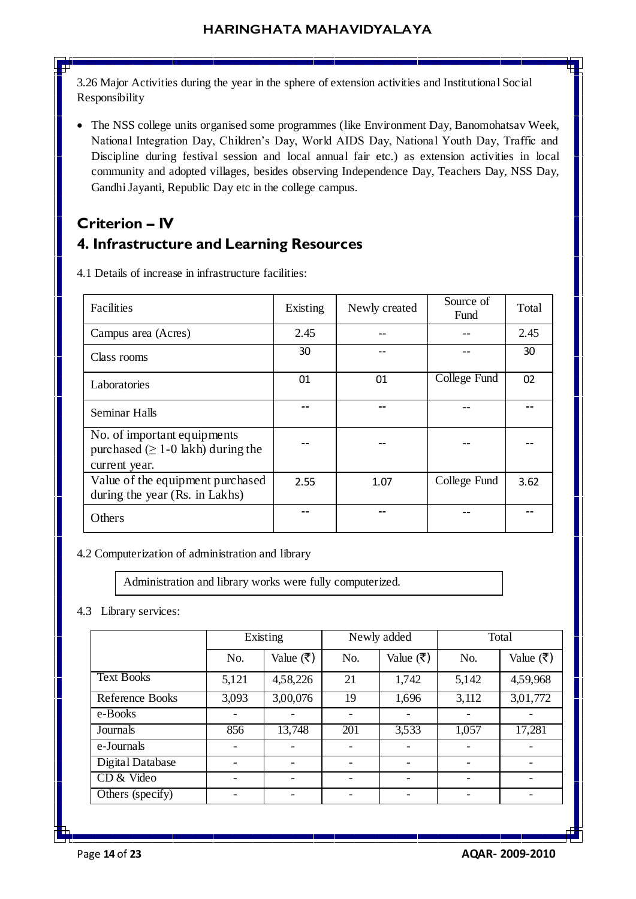3.26 Major Activities during the year in the sphere of extension activities and Institutional Social Responsibility

 The NSS college units organised some programmes (like Environment Day, Banomohatsav Week, National Integration Day, Children's Day, World AIDS Day, National Youth Day, Traffic and Discipline during festival session and local annual fair etc.) as extension activities in local community and adopted villages, besides observing Independence Day, Teachers Day, NSS Day, Gandhi Jayanti, Republic Day etc in the college campus.

# **Criterion – IV 4. Infrastructure and Learning Resources**

| Facilities                                                                                        | Existing | Newly created | Source of<br>Fund | Total |
|---------------------------------------------------------------------------------------------------|----------|---------------|-------------------|-------|
| Campus area (Acres)                                                                               | 2.45     |               |                   | 2.45  |
| Class rooms                                                                                       | 30       |               |                   | 30    |
| Laboratories                                                                                      | 01       | 01            | College Fund      | 02    |
| Seminar Halls                                                                                     |          |               |                   |       |
| No. of important equipments<br>purchased $( \geq 1 - 0 \text{ lakh})$ during the<br>current year. |          |               |                   |       |
| Value of the equipment purchased<br>during the year (Rs. in Lakhs)                                | 2.55     | 1.07          | College Fund      | 3.62  |
| Others                                                                                            |          |               |                   |       |

4.1 Details of increase in infrastructure facilities:

4.2 Computerization of administration and library

Administration and library works were fully computerized.

4.3 Library services:

|                   | Existing |                           |     | Newly added | Total |           |  |
|-------------------|----------|---------------------------|-----|-------------|-------|-----------|--|
|                   | No.      | Value $(\overline{\tau})$ | No. | Value (₹)   | No.   | Value (₹) |  |
| <b>Text Books</b> | 5,121    | 4,58,226                  | 21  | 1,742       | 5,142 | 4,59,968  |  |
| Reference Books   | 3,093    | 3,00,076                  | 19  | 1,696       | 3,112 | 3,01,772  |  |
| e-Books           |          |                           |     |             |       |           |  |
| Journals          | 856      | 13,748                    | 201 | 3,533       | 1,057 | 17,281    |  |
| e-Journals        |          |                           |     |             |       |           |  |
| Digital Database  |          |                           |     |             |       |           |  |
| CD & Video        |          |                           |     |             |       |           |  |
| Others (specify)  |          |                           |     |             |       |           |  |

Page **14** of **23 AQAR- 2009-2010**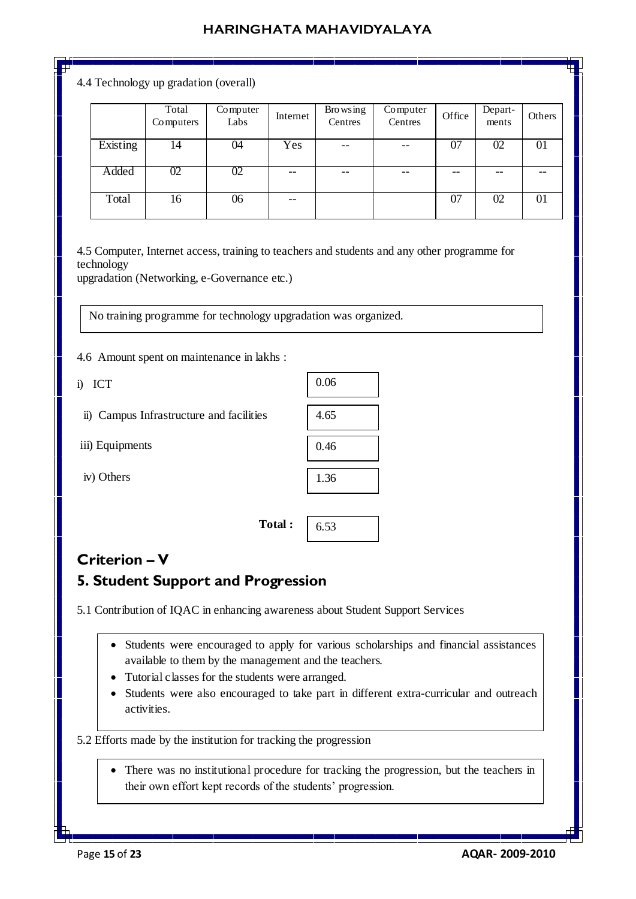4.4 Technology up gradation (overall)

|          | Total<br>Computers | Computer<br>Labs | Internet | Browsing<br>Centres | Computer<br>Centres | Office | Depart-<br>ments | Others |
|----------|--------------------|------------------|----------|---------------------|---------------------|--------|------------------|--------|
| Existing | 14                 | 04               | Yes      | $- -$               | --                  | 07     | 02               | 01     |
| Added    | 02                 | 02               | --       | --                  | --                  |        | --               |        |
| Total    | 16                 | 06               |          |                     |                     | 07     | 02               | 01     |

4.5 Computer, Internet access, training to teachers and students and any other programme for technology

upgradation (Networking, e-Governance etc.)

No training programme for technology upgradation was organized.

4.6 Amount spent on maintenance in lakhs :

i) ICT

|  |  | ii) Campus Infrastructure and facilities |  |  |
|--|--|------------------------------------------|--|--|
|--|--|------------------------------------------|--|--|

iii) Equipments

iv) Others

| 0.06 |
|------|
| 4.65 |
| 0.46 |
| 1.36 |
|      |

**Total :** 

## **Criterion – V**

## **5. Student Support and Progression**

5.1 Contribution of IQAC in enhancing awareness about Student Support Services

 Students were encouraged to apply for various scholarships and financial assistances available to them by the management and the teachers.

6.53

- Tutorial classes for the students were arranged.
- Students were also encouraged to take part in different extra-curricular and outreach activities.

#### 5.2 Efforts made by the institution for tracking the progression

 There was no institutional procedure for tracking the progression, but the teachers in their own effort kept records of the students' progression.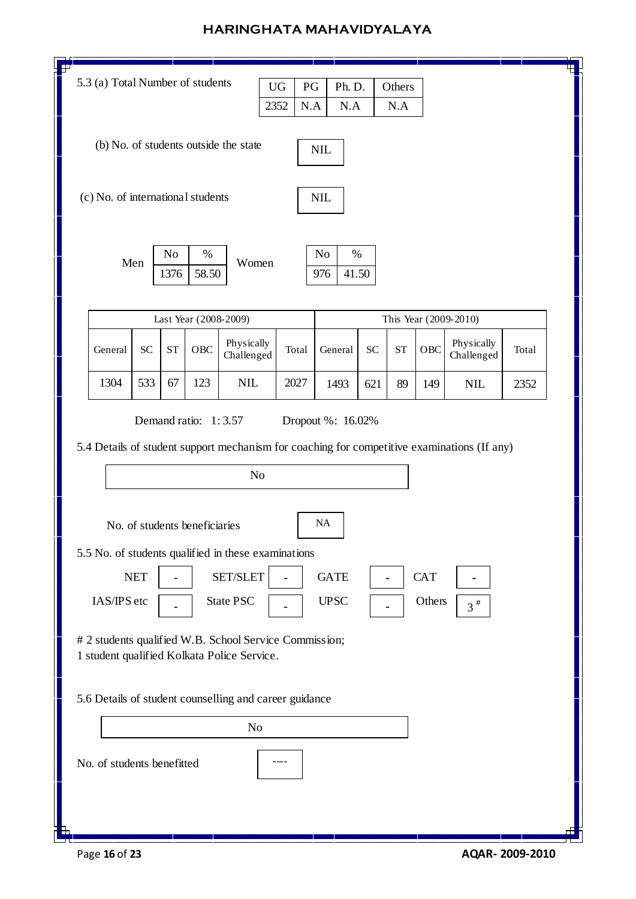| 5.3 (a) Total Number of students<br><b>UG</b><br>$\mathbf{P}\mathbf{G}$<br>Ph. D.<br>Others<br>$\rm N.A$<br>2352<br>N.A<br>N.A                                                                                                                                                                                                                                                                                                                             |           |            |                       |                                       |       |                            |     |           |     |                          |       |  |
|------------------------------------------------------------------------------------------------------------------------------------------------------------------------------------------------------------------------------------------------------------------------------------------------------------------------------------------------------------------------------------------------------------------------------------------------------------|-----------|------------|-----------------------|---------------------------------------|-------|----------------------------|-----|-----------|-----|--------------------------|-------|--|
|                                                                                                                                                                                                                                                                                                                                                                                                                                                            |           |            |                       | (b) No. of students outside the state |       | <b>NIL</b>                 |     |           |     |                          |       |  |
| (c) No. of international students                                                                                                                                                                                                                                                                                                                                                                                                                          |           |            |                       |                                       |       | <b>NIL</b>                 |     |           |     |                          |       |  |
|                                                                                                                                                                                                                                                                                                                                                                                                                                                            | Men       | No<br>1376 | $\%$<br>58.50         | Women                                 |       | No<br>$\%$<br>41.50<br>976 |     |           |     |                          |       |  |
|                                                                                                                                                                                                                                                                                                                                                                                                                                                            |           |            | Last Year (2008-2009) |                                       |       |                            |     |           |     | This Year (2009-2010)    |       |  |
| General                                                                                                                                                                                                                                                                                                                                                                                                                                                    | <b>SC</b> | <b>ST</b>  | OBC                   | Physically<br>Challenged              | Total | General                    | SC  | <b>ST</b> | OBC | Physically<br>Challenged | Total |  |
| 1304                                                                                                                                                                                                                                                                                                                                                                                                                                                       | 533       | 67         | 123                   | $\text{NIL}$                          | 2027  | 1493                       | 621 | 89        | 149 | <b>NIL</b>               | 2352  |  |
| 5.4 Details of student support mechanism for coaching for competitive examinations (If any)<br>N <sub>o</sub><br><b>NA</b><br>No. of students beneficiaries<br>5.5 No. of students qualified in these examinations<br>SET/SLET<br><b>NET</b><br><b>GATE</b><br><b>CAT</b><br><b>State PSC</b><br>IAS/IPS etc<br><b>UPSC</b><br>Others<br>$3^{\#}$<br># 2 students qualified W.B. School Service Commission;<br>1 student qualified Kolkata Police Service. |           |            |                       |                                       |       |                            |     |           |     |                          |       |  |
| 5.6 Details of student counselling and career guidance<br>N <sub>o</sub><br>No. of students benefitted                                                                                                                                                                                                                                                                                                                                                     |           |            |                       |                                       |       |                            |     |           |     |                          |       |  |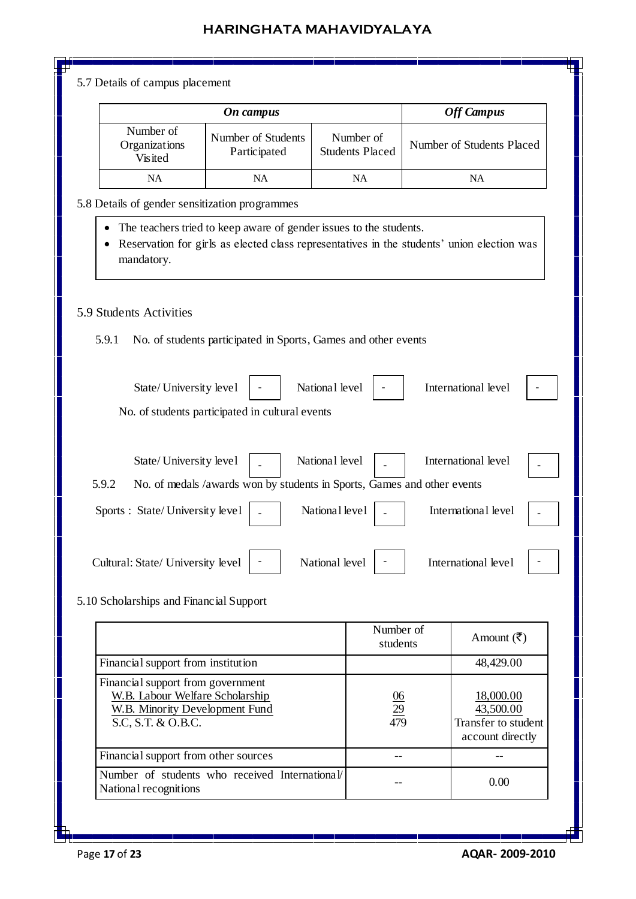5.7 Details of campus placement

|                                              | <b>Off Campus</b>                  |                                     |                           |
|----------------------------------------------|------------------------------------|-------------------------------------|---------------------------|
| Number of<br>Organizations<br><b>Visited</b> | Number of Students<br>Participated | Number of<br><b>Students Placed</b> | Number of Students Placed |
| <b>NA</b>                                    | NA                                 | NA                                  | NA                        |

#### 5.8 Details of gender sensitization programmes

- The teachers tried to keep aware of gender issues to the students.
- Reservation for girls as elected class representatives in the students' union election was mandatory.

#### 5.9 Students Activities

5.9.1 No. of students participated in Sports, Games and other events

| State/University level                                                           | National level |                       | International level         |  |
|----------------------------------------------------------------------------------|----------------|-----------------------|-----------------------------|--|
| No. of students participated in cultural events                                  |                |                       |                             |  |
|                                                                                  |                |                       |                             |  |
| State/University level                                                           | National level |                       | International level         |  |
| No. of medals /awards won by students in Sports, Games and other events<br>5.9.2 |                |                       |                             |  |
| Sports : State/University level                                                  | National level |                       | International level         |  |
|                                                                                  |                |                       |                             |  |
| Cultural: State/ University level                                                | National level |                       | International level         |  |
| 5.10 Scholarships and Financial Support                                          |                |                       |                             |  |
|                                                                                  |                |                       |                             |  |
|                                                                                  |                | Number of<br>students | Amount $(\bar{\mathbf{z}})$ |  |

|                                                                                                                              | students               | $\cdots$                                                          |
|------------------------------------------------------------------------------------------------------------------------------|------------------------|-------------------------------------------------------------------|
| Financial support from institution                                                                                           |                        | 48,429.00                                                         |
| Financial support from government<br>W.B. Labour Welfare Scholarship<br>W.B. Minority Development Fund<br>S.C. S.T. & O.B.C. | $\frac{06}{29}$<br>479 | 18,000.00<br>43,500.00<br>Transfer to student<br>account directly |
| Financial support from other sources                                                                                         |                        |                                                                   |
| Number of students who received International<br>National recognitions                                                       |                        | 0.00                                                              |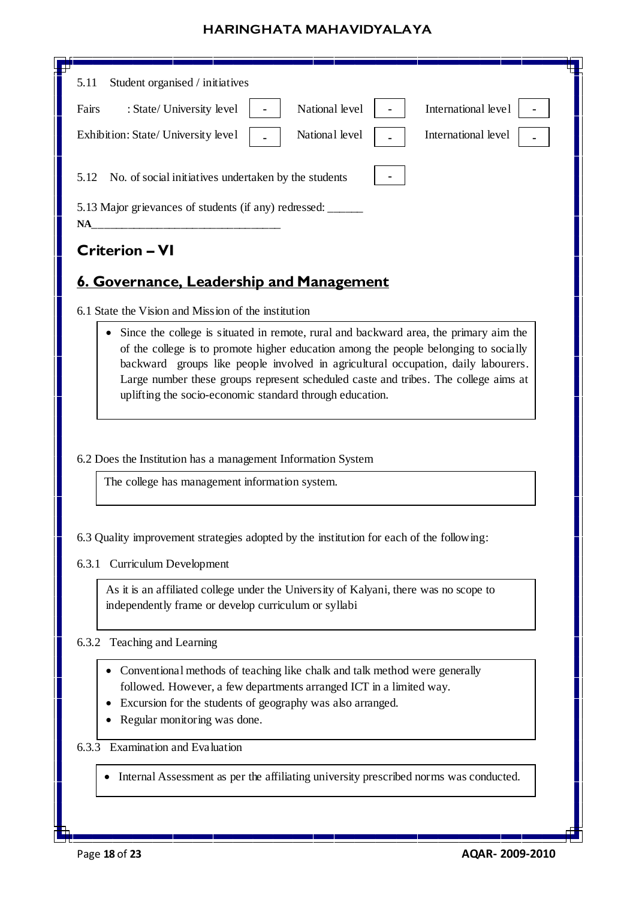| Student organised / initiatives<br>5.11                                                                                                                                                                                                                                                                                      |
|------------------------------------------------------------------------------------------------------------------------------------------------------------------------------------------------------------------------------------------------------------------------------------------------------------------------------|
| National level<br>International level<br>Fairs<br>: State/ University level                                                                                                                                                                                                                                                  |
| National level<br>International level<br>Exhibition: State/ University level                                                                                                                                                                                                                                                 |
|                                                                                                                                                                                                                                                                                                                              |
| 5.12<br>No. of social initiatives undertaken by the students                                                                                                                                                                                                                                                                 |
| 5.13 Major grievances of students (if any) redressed: _______<br>NA                                                                                                                                                                                                                                                          |
| <b>Criterion - VI</b>                                                                                                                                                                                                                                                                                                        |
| 6. Governance, Leadership and Management                                                                                                                                                                                                                                                                                     |
| 6.1 State the Vision and Mission of the institution                                                                                                                                                                                                                                                                          |
|                                                                                                                                                                                                                                                                                                                              |
| of the college is to promote higher education among the people belonging to socially<br>backward groups like people involved in agricultural occupation, daily labourers.<br>Large number these groups represent scheduled caste and tribes. The college aims at<br>uplifting the socio-economic standard through education. |
| 6.2 Does the Institution has a management Information System<br>The college has management information system.                                                                                                                                                                                                               |
| 6.3 Quality improvement strategies adopted by the institution for each of the following:<br>6.3.1 Curriculum Development                                                                                                                                                                                                     |
| As it is an affiliated college under the University of Kalyani, there was no scope to<br>independently frame or develop curriculum or syllabi                                                                                                                                                                                |
| Teaching and Learning<br>6.3.2                                                                                                                                                                                                                                                                                               |
| Conventional methods of teaching like chalk and talk method were generally<br>followed. However, a few departments arranged ICT in a limited way.<br>Excursion for the students of geography was also arranged.<br>Regular monitoring was done.                                                                              |
| Examination and Evaluation<br>6.3.3                                                                                                                                                                                                                                                                                          |
| Internal Assessment as per the affiliating university prescribed norms was conducted.                                                                                                                                                                                                                                        |
|                                                                                                                                                                                                                                                                                                                              |

 $\mathsf{L}$ Н

 $\sqrt{ }$ 

di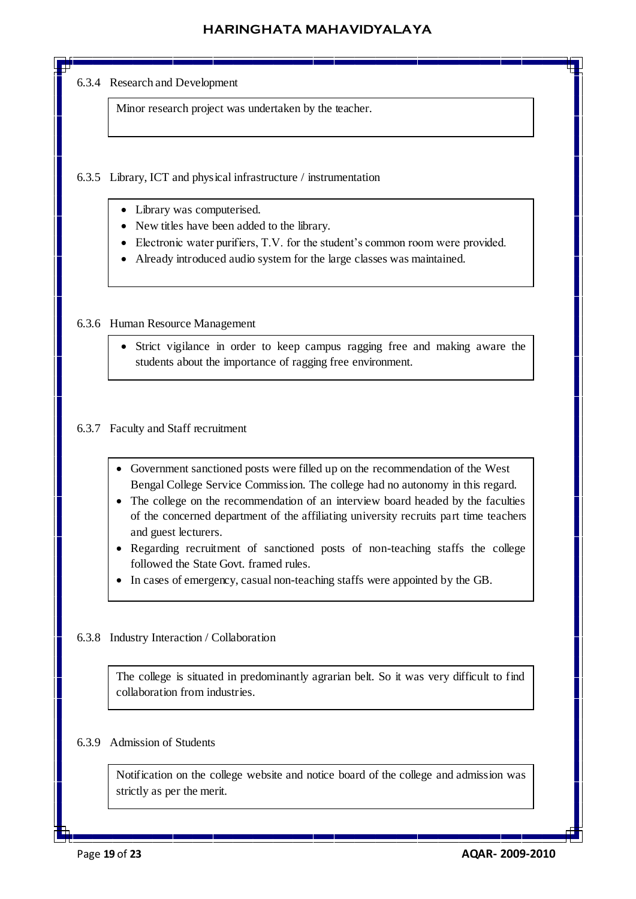#### 6.3.4 Research and Development

Minor research project was undertaken by the teacher.

#### 6.3.5 Library, ICT and physical infrastructure / instrumentation

- Library was computerised.
- New titles have been added to the library.
- Electronic water purifiers, T.V. for the student's common room were provided.
- Already introduced audio system for the large classes was maintained.

#### 6.3.6 Human Resource Management

 Strict vigilance in order to keep campus ragging free and making aware the students about the importance of ragging free environment.

#### 6.3.7 Faculty and Staff recruitment

- Government sanctioned posts were filled up on the recommendation of the West Bengal College Service Commission. The college had no autonomy in this regard.
- The college on the recommendation of an interview board headed by the faculties of the concerned department of the affiliating university recruits part time teachers and guest lecturers.
- Regarding recruitment of sanctioned posts of non-teaching staffs the college followed the State Govt. framed rules.
- In cases of emergency, casual non-teaching staffs were appointed by the GB.

#### 6.3.8 Industry Interaction / Collaboration

The college is situated in predominantly agrarian belt. So it was very difficult to find collaboration from industries.

#### 6.3.9 Admission of Students

Notification on the college website and notice board of the college and admission was strictly as per the merit.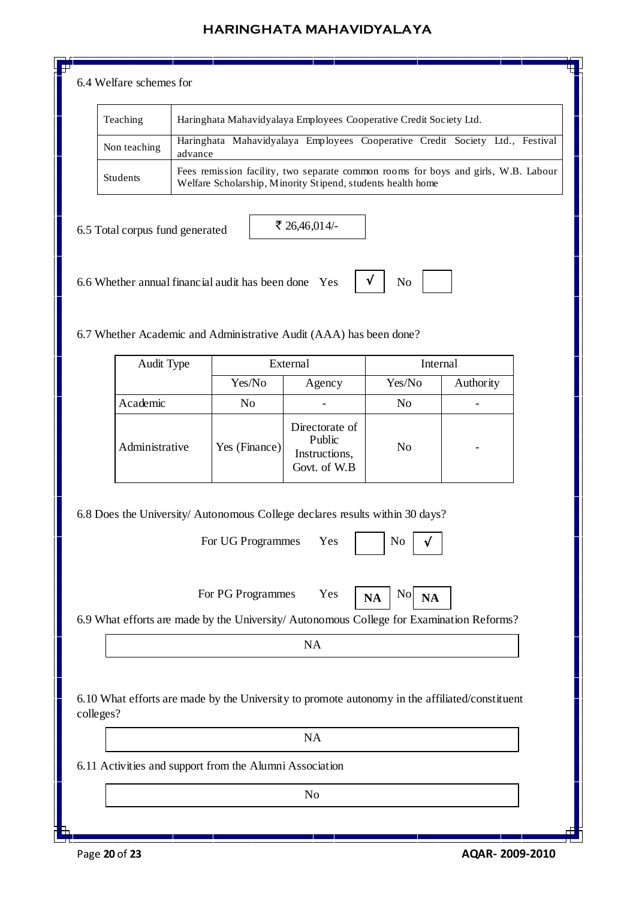#### 6.4 Welfare schemes for

| Teaching        | Haringhata Mahavidyalaya Employees Cooperative Credit Society Ltd.                                                                                |
|-----------------|---------------------------------------------------------------------------------------------------------------------------------------------------|
| Non teaching    | Haringhata Mahavidyalaya Employees Cooperative Credit Society Ltd., Festival<br>advance                                                           |
| <b>Students</b> | Fees remission facility, two separate common rooms for boys and girls, W.B. Labour<br>Welfare Scholarship, Minority Stipend, students health home |

√

6.5 Total corpus fund generated

₹ 26,46,014/-

6.6 Whether annual financial audit has been done Yes  $\mathbf{v} \cdot \mathbf{v}$  No

6.7 Whether Academic and Administrative Audit (AAA) has been done?

| Audit Type     |               | External                                                  | Internal       |           |  |
|----------------|---------------|-----------------------------------------------------------|----------------|-----------|--|
|                | Yes/No        | Agency                                                    | Yes/No         | Authority |  |
| Academic       | No            |                                                           | N <sub>o</sub> |           |  |
| Administrative | Yes (Finance) | Directorate of<br>Public<br>Instructions,<br>Govt. of W.B | N <sub>0</sub> | -         |  |

6.8 Does the University/ Autonomous College declares results within 30 days?

For UG Programmes Yes

For PG Programmes Yes  $\mathbf{N_A}$  No



6.9 What efforts are made by the University/ Autonomous College for Examination Reforms?

NA

6.10 What efforts are made by the University to promote autonomy in the affiliated/constituent colleges?

NA

6.11 Activities and support from the Alumni Association

No

Page **20** of **23 AQAR- 2009-2010**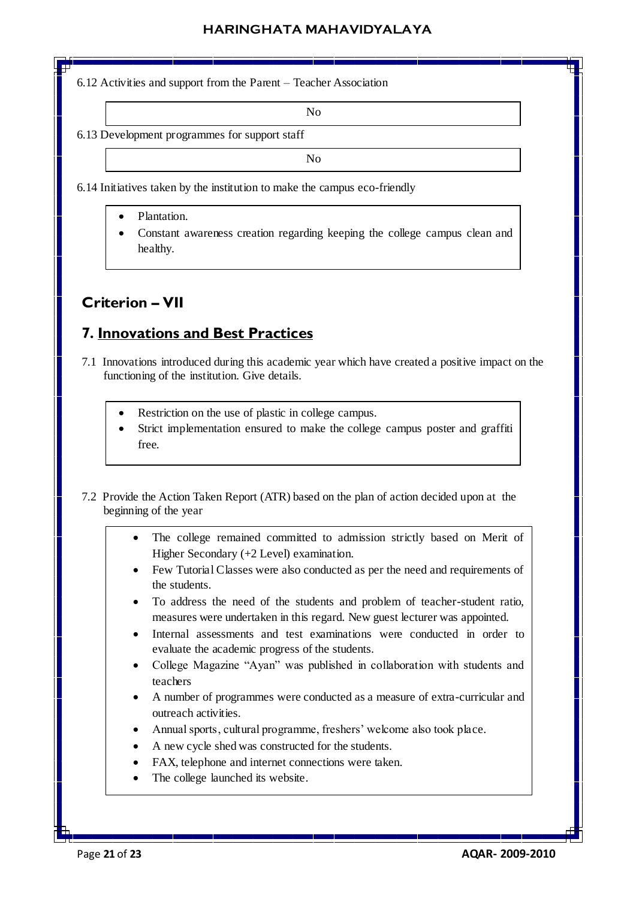6.12 Activities and support from the Parent – Teacher Association

No

6.13 Development programmes for support staff

No

- 6.14 Initiatives taken by the institution to make the campus eco-friendly
	- Plantation.
	- Constant awareness creation regarding keeping the college campus clean and healthy.

## **Criterion – VII**

## **7. Innovations and Best Practices**

- 7.1 Innovations introduced during this academic year which have created a positive impact on the functioning of the institution. Give details.
	- Restriction on the use of plastic in college campus.
	- Strict implementation ensured to make the college campus poster and graffiti free.
- 7.2 Provide the Action Taken Report (ATR) based on the plan of action decided upon at the beginning of the year
	- The college remained committed to admission strictly based on Merit of Higher Secondary (+2 Level) examination.
	- Few Tutorial Classes were also conducted as per the need and requirements of the students.
	- To address the need of the students and problem of teacher-student ratio, measures were undertaken in this regard. New guest lecturer was appointed.
	- Internal assessments and test examinations were conducted in order to evaluate the academic progress of the students.
	- College Magazine "Ayan" was published in collaboration with students and teachers
	- A number of programmes were conducted as a measure of extra-curricular and outreach activities.
	- Annual sports, cultural programme, freshers' welcome also took place.
	- A new cycle shed was constructed for the students.
	- FAX, telephone and internet connections were taken.
	- The college launched its website.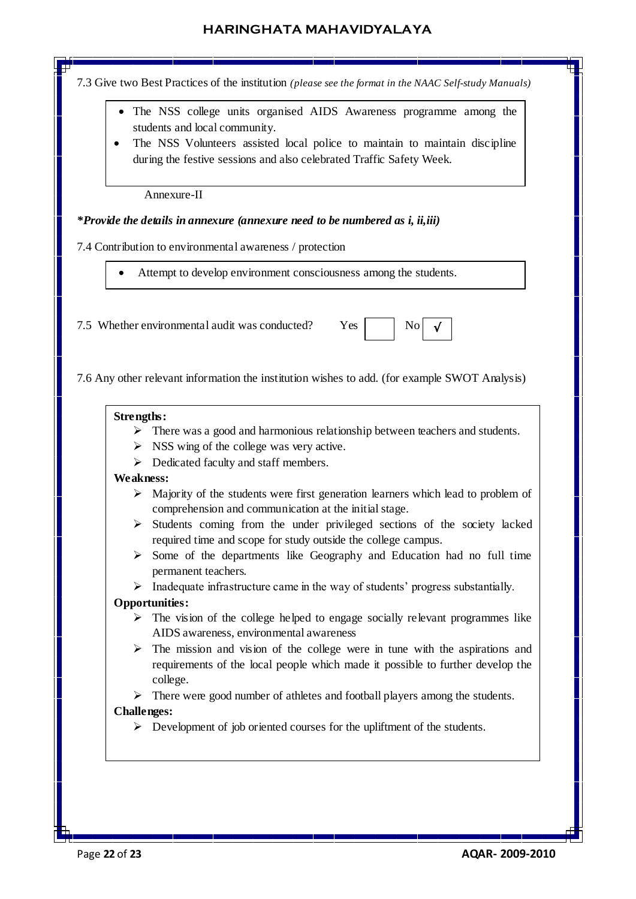7.3 Give two Best Practices of the institution *(please see the format in the NAAC Self-study Manuals)*

- The NSS college units organised AIDS Awareness programme among the students and local community.
- The NSS Volunteers assisted local police to maintain to maintain discipline during the festive sessions and also celebrated Traffic Safety Week.

Annexure-II

#### *\*Provide the details in annexure (annexure need to be numbered as i, ii,iii)*

7.4 Contribution to environmental awareness / protection

Attempt to develop environment consciousness among the students.

7.5 Whether environmental audit was conducted? Yes  $\parallel$  No



7.6 Any other relevant information the institution wishes to add. (for example SWOT Analysis)

#### **Strengths:**

- $\triangleright$  There was a good and harmonious relationship between teachers and students.
- $\triangleright$  NSS wing of the college was very active.
- $\triangleright$  Dedicated faculty and staff members.

#### **Weakness:**

- $\triangleright$  Majority of the students were first generation learners which lead to problem of comprehension and communication at the initial stage.
- $\triangleright$  Students coming from the under privileged sections of the society lacked required time and scope for study outside the college campus.
- $\triangleright$  Some of the departments like Geography and Education had no full time permanent teachers.
- $\triangleright$  Inadequate infrastructure came in the way of students' progress substantially.

#### **Opportunities:**

- $\triangleright$  The vision of the college helped to engage socially relevant programmes like AIDS awareness, environmental awareness
- $\triangleright$  The mission and vision of the college were in tune with the aspirations and requirements of the local people which made it possible to further develop the college.

 $\triangleright$  There were good number of athletes and football players among the students. **Challenges:**

 $\triangleright$  Development of job oriented courses for the upliftment of the students.